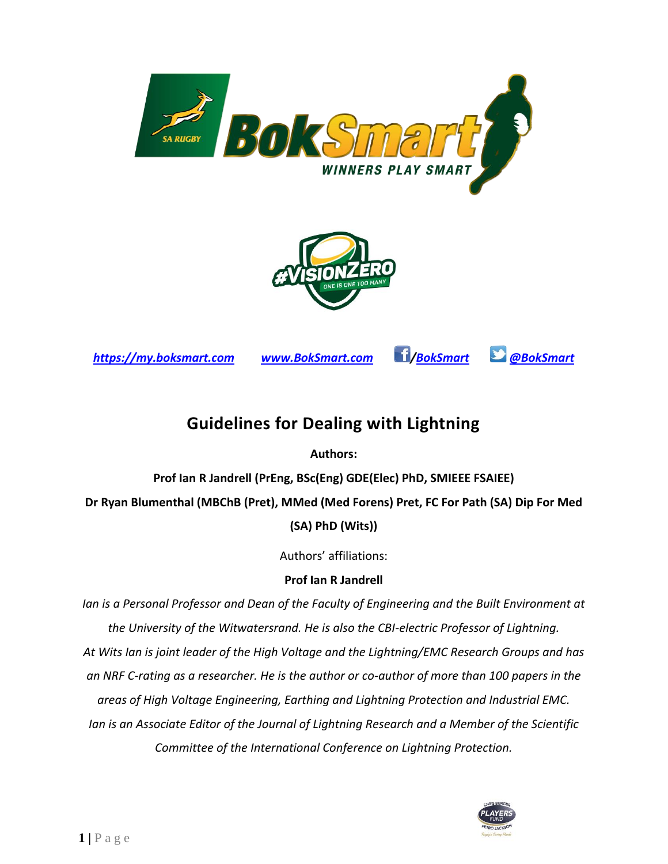



*[https://my.boksmart.com](https://my.boksmart.com/) [www.BokSmart.com](http://www.boksmart.com/) [/BokSmart](http://www.facebook.com/boksmart) [@BokSmart](http://www.twitter.com/@BokSmart)*



# **Guidelines for Dealing with Lightning**

**Authors:** 

**Prof Ian R Jandrell (PrEng, BSc(Eng) GDE(Elec) PhD, SMIEEE FSAIEE)**

**Dr Ryan Blumenthal (MBChB (Pret), MMed (Med Forens) Pret, FC For Path (SA) Dip For Med (SA) PhD (Wits))**

Authors' affiliations:

### **Prof Ian R Jandrell**

*Ian is a Personal Professor and Dean of the Faculty of Engineering and the Built Environment at the University of the Witwatersrand. He is also the CBI-electric Professor of Lightning. At Wits Ian is joint leader of the High Voltage and the Lightning/EMC Research Groups and has an NRF C-rating as a researcher. He is the author or co-author of more than 100 papers in the areas of High Voltage Engineering, Earthing and Lightning Protection and Industrial EMC. Ian is an Associate Editor of the Journal of Lightning Research and a Member of the Scientific Committee of the International Conference on Lightning Protection.*

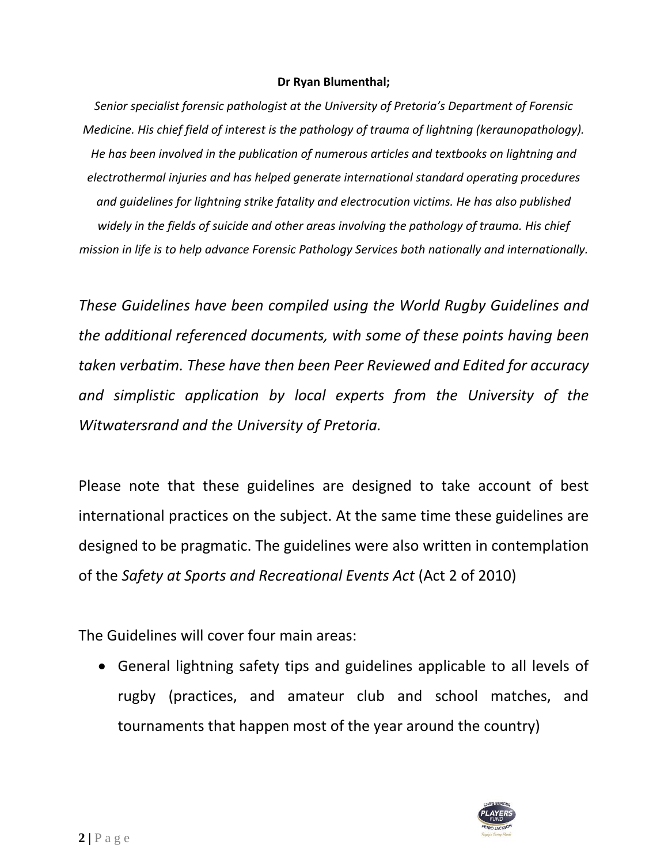#### **Dr Ryan Blumenthal;**

*Senior specialist forensic pathologist at the University of Pretoria's Department of Forensic Medicine. His chief field of interest is the pathology of trauma of lightning (keraunopathology). He has been involved in the publication of numerous articles and textbooks on lightning and electrothermal injuries and has helped generate international standard operating procedures and guidelines for lightning strike fatality and electrocution victims. He has also published widely in the fields of suicide and other areas involving the pathology of trauma. His chief mission in life is to help advance Forensic Pathology Services both nationally and internationally.*

*These Guidelines have been compiled using the World Rugby Guidelines and the additional referenced documents, with some of these points having been taken verbatim. These have then been Peer Reviewed and Edited for accuracy and simplistic application by local experts from the University of the Witwatersrand and the University of Pretoria.*

Please note that these guidelines are designed to take account of best international practices on the subject. At the same time these guidelines are designed to be pragmatic. The guidelines were also written in contemplation of the *Safety at Sports and Recreational Events Act* (Act 2 of 2010)

The Guidelines will cover four main areas:

• General lightning safety tips and guidelines applicable to all levels of rugby (practices, and amateur club and school matches, and tournaments that happen most of the year around the country)

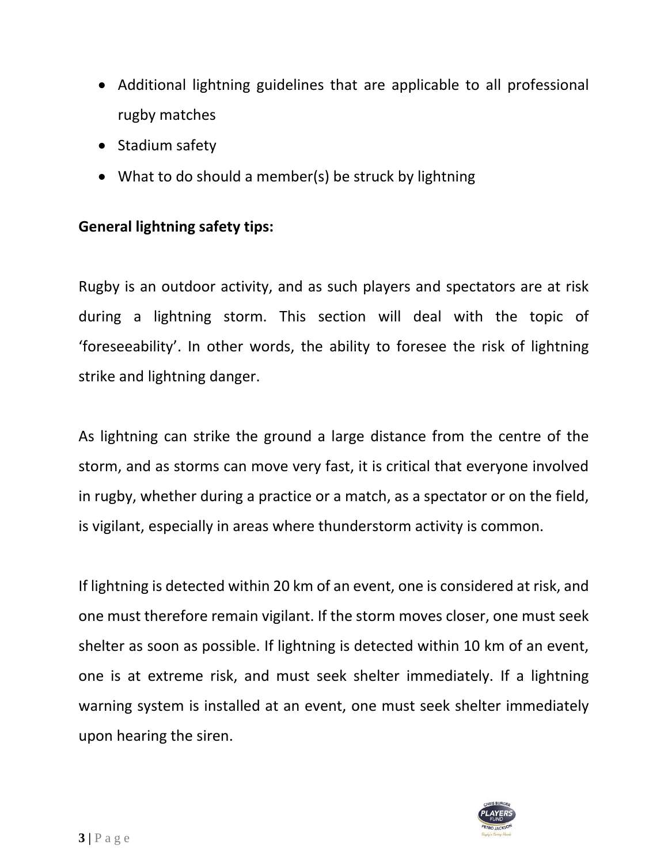- Additional lightning guidelines that are applicable to all professional rugby matches
- Stadium safety
- What to do should a member(s) be struck by lightning

## **General lightning safety tips:**

Rugby is an outdoor activity, and as such players and spectators are at risk during a lightning storm. This section will deal with the topic of 'foreseeability'. In other words, the ability to foresee the risk of lightning strike and lightning danger.

As lightning can strike the ground a large distance from the centre of the storm, and as storms can move very fast, it is critical that everyone involved in rugby, whether during a practice or a match, as a spectator or on the field, is vigilant, especially in areas where thunderstorm activity is common.

If lightning is detected within 20 km of an event, one is considered at risk, and one must therefore remain vigilant. If the storm moves closer, one must seek shelter as soon as possible. If lightning is detected within 10 km of an event, one is at extreme risk, and must seek shelter immediately. If a lightning warning system is installed at an event, one must seek shelter immediately upon hearing the siren.

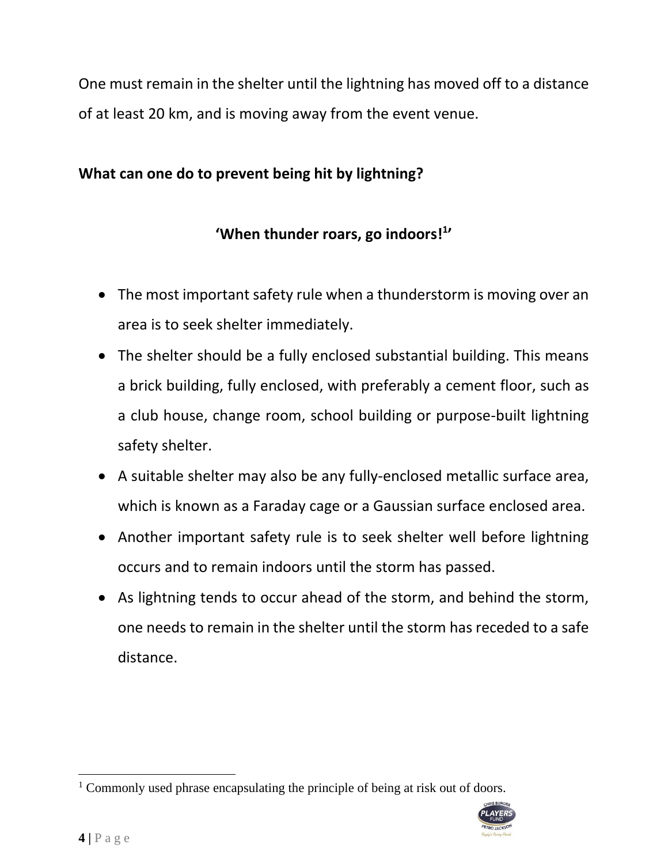One must remain in the shelter until the lightning has moved off to a distance of at least 20 km, and is moving away from the event venue.

# **What can one do to prevent being hit by lightning?**

# **'When thunder roars, go indoors! 1 '**

- The most important safety rule when a thunderstorm is moving over an area is to seek shelter immediately.
- The shelter should be a fully enclosed substantial building. This means a brick building, fully enclosed, with preferably a cement floor, such as a club house, change room, school building or purpose-built lightning safety shelter.
- A suitable shelter may also be any fully-enclosed metallic surface area, which is known as a Faraday cage or a Gaussian surface enclosed area.
- Another important safety rule is to seek shelter well before lightning occurs and to remain indoors until the storm has passed.
- As lightning tends to occur ahead of the storm, and behind the storm, one needs to remain in the shelter until the storm has receded to a safe distance.

<sup>&</sup>lt;sup>1</sup> Commonly used phrase encapsulating the principle of being at risk out of doors.

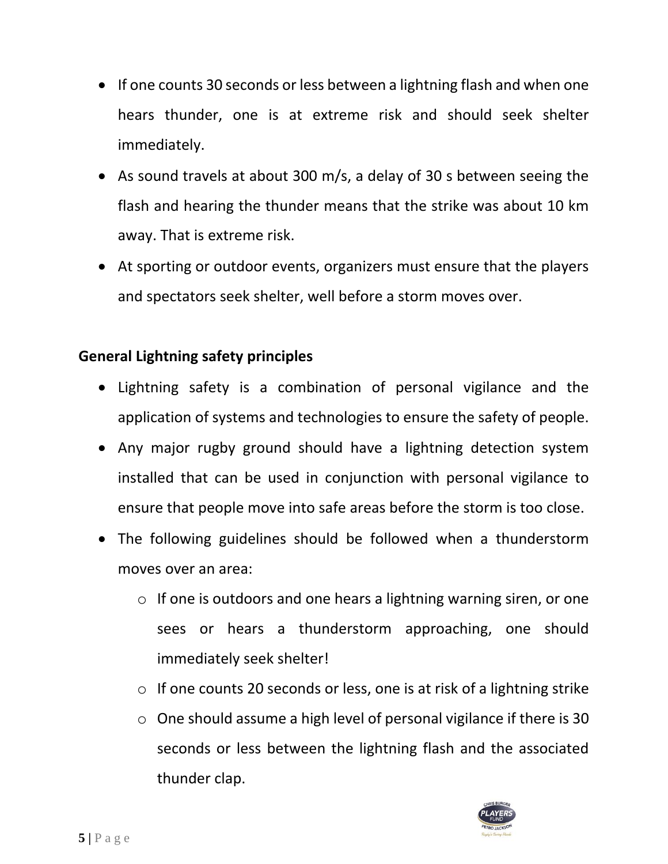- If one counts 30 seconds or less between a lightning flash and when one hears thunder, one is at extreme risk and should seek shelter immediately.
- As sound travels at about 300 m/s, a delay of 30 s between seeing the flash and hearing the thunder means that the strike was about 10 km away. That is extreme risk.
- At sporting or outdoor events, organizers must ensure that the players and spectators seek shelter, well before a storm moves over.

# **General Lightning safety principles**

- Lightning safety is a combination of personal vigilance and the application of systems and technologies to ensure the safety of people.
- Any major rugby ground should have a lightning detection system installed that can be used in conjunction with personal vigilance to ensure that people move into safe areas before the storm is too close.
- The following guidelines should be followed when a thunderstorm moves over an area:
	- $\circ$  If one is outdoors and one hears a lightning warning siren, or one sees or hears a thunderstorm approaching, one should immediately seek shelter!
	- o If one counts 20 seconds or less, one is at risk of a lightning strike
	- o One should assume a high level of personal vigilance if there is 30 seconds or less between the lightning flash and the associated thunder clap.

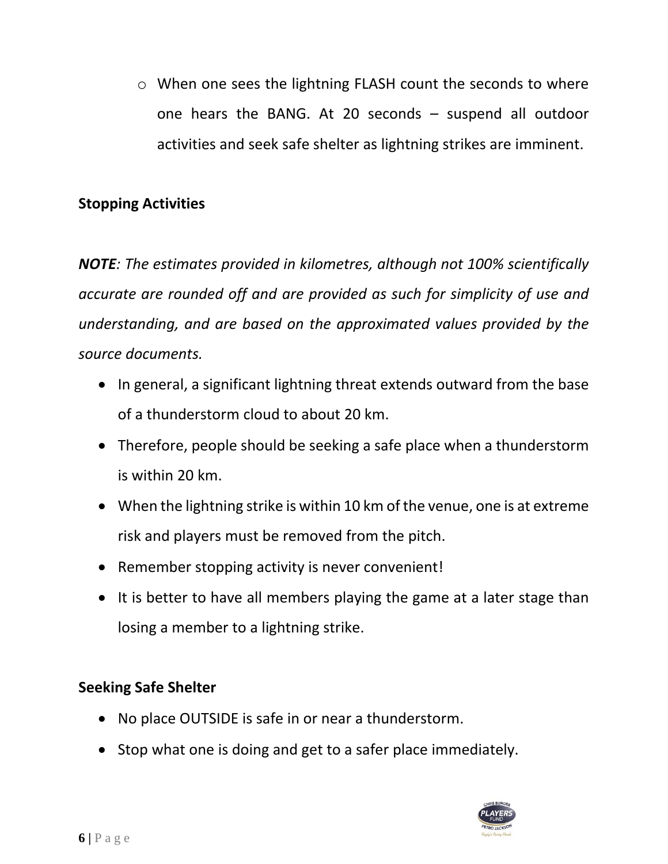o When one sees the lightning FLASH count the seconds to where one hears the BANG. At 20 seconds – suspend all outdoor activities and seek safe shelter as lightning strikes are imminent.

# **Stopping Activities**

*NOTE: The estimates provided in kilometres, although not 100% scientifically accurate are rounded off and are provided as such for simplicity of use and understanding, and are based on the approximated values provided by the source documents.*

- In general, a significant lightning threat extends outward from the base of a thunderstorm cloud to about 20 km.
- Therefore, people should be seeking a safe place when a thunderstorm is within 20 km.
- When the lightning strike is within 10 km of the venue, one is at extreme risk and players must be removed from the pitch.
- Remember stopping activity is never convenient!
- It is better to have all members playing the game at a later stage than losing a member to a lightning strike.

# **Seeking Safe Shelter**

- No place OUTSIDE is safe in or near a thunderstorm.
- Stop what one is doing and get to a safer place immediately.

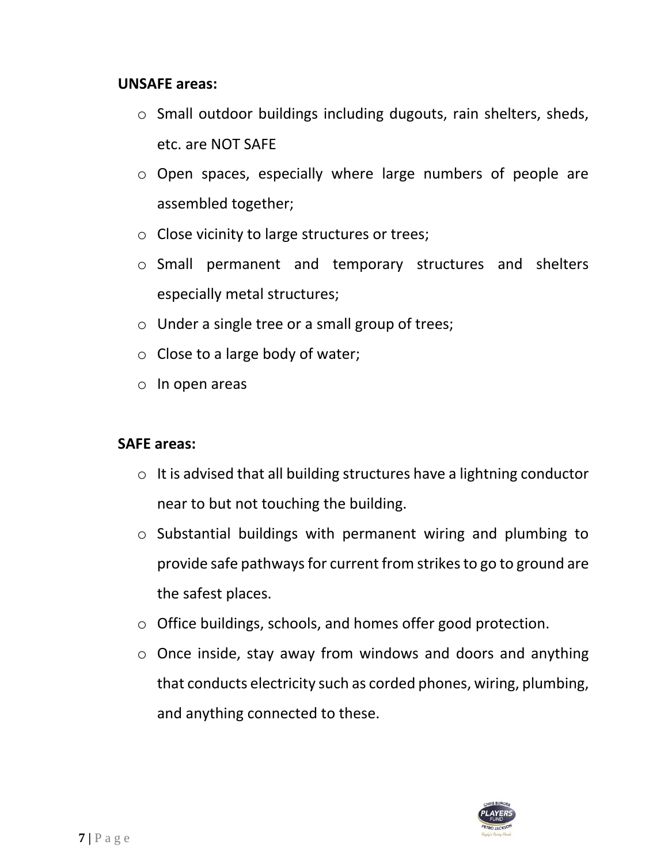#### **UNSAFE areas:**

- o Small outdoor buildings including dugouts, rain shelters, sheds, etc. are NOT SAFE
- o Open spaces, especially where large numbers of people are assembled together;
- o Close vicinity to large structures or trees;
- o Small permanent and temporary structures and shelters especially metal structures;
- o Under a single tree or a small group of trees;
- $\circ$  Close to a large body of water;
- $\circ$  In open areas

### **SAFE areas:**

- $\circ$  It is advised that all building structures have a lightning conductor near to but not touching the building.
- o Substantial buildings with permanent wiring and plumbing to provide safe pathways for current from strikes to go to ground are the safest places.
- o Office buildings, schools, and homes offer good protection.
- o Once inside, stay away from windows and doors and anything that conducts electricity such as corded phones, wiring, plumbing, and anything connected to these.

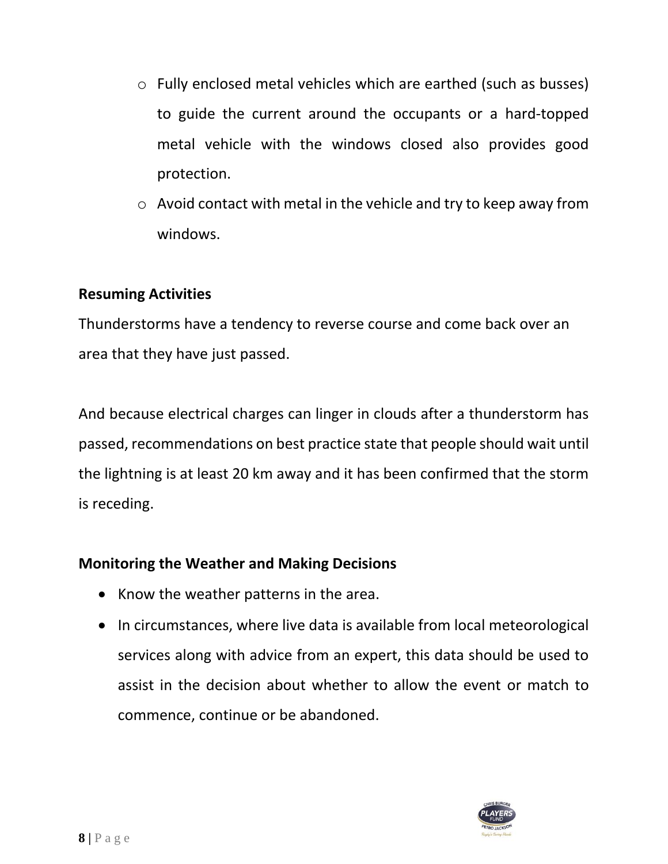- o Fully enclosed metal vehicles which are earthed (such as busses) to guide the current around the occupants or a hard-topped metal vehicle with the windows closed also provides good protection.
- o Avoid contact with metal in the vehicle and try to keep away from windows.

## **Resuming Activities**

Thunderstorms have a tendency to reverse course and come back over an area that they have just passed.

And because electrical charges can linger in clouds after a thunderstorm has passed, recommendations on best practice state that people should wait until the lightning is at least 20 km away and it has been confirmed that the storm is receding.

### **Monitoring the Weather and Making Decisions**

- Know the weather patterns in the area.
- In circumstances, where live data is available from local meteorological services along with advice from an expert, this data should be used to assist in the decision about whether to allow the event or match to commence, continue or be abandoned.

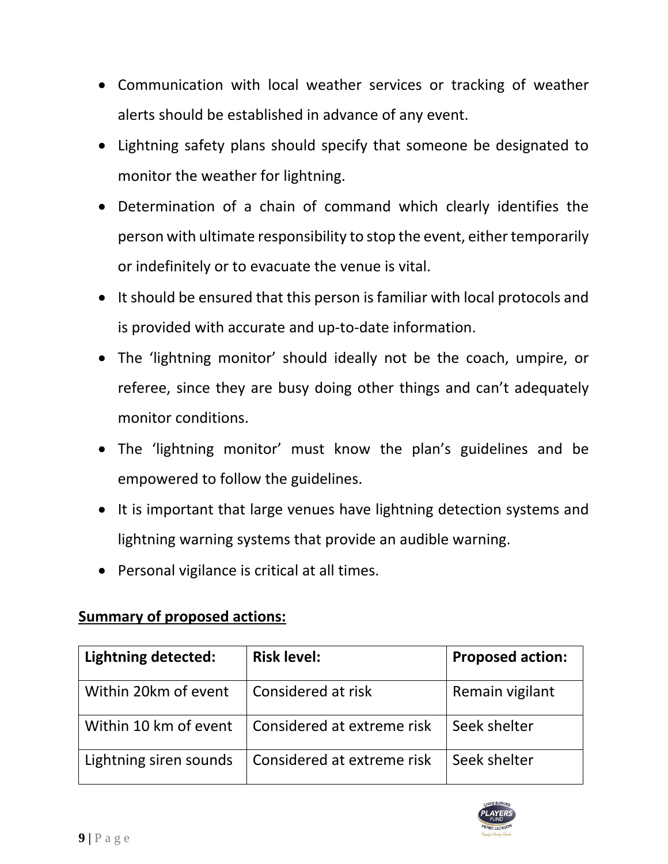- Communication with local weather services or tracking of weather alerts should be established in advance of any event.
- Lightning safety plans should specify that someone be designated to monitor the weather for lightning.
- Determination of a chain of command which clearly identifies the person with ultimate responsibility to stop the event, either temporarily or indefinitely or to evacuate the venue is vital.
- It should be ensured that this person is familiar with local protocols and is provided with accurate and up-to-date information.
- The 'lightning monitor' should ideally not be the coach, umpire, or referee, since they are busy doing other things and can't adequately monitor conditions.
- The 'lightning monitor' must know the plan's guidelines and be empowered to follow the guidelines.
- It is important that large venues have lightning detection systems and lightning warning systems that provide an audible warning.
- Personal vigilance is critical at all times.

# **Summary of proposed actions:**

| <b>Lightning detected:</b> | <b>Risk level:</b>         | <b>Proposed action:</b> |
|----------------------------|----------------------------|-------------------------|
| Within 20km of event       | Considered at risk         | Remain vigilant         |
| Within 10 km of event      | Considered at extreme risk | Seek shelter            |
| Lightning siren sounds     | Considered at extreme risk | Seek shelter            |

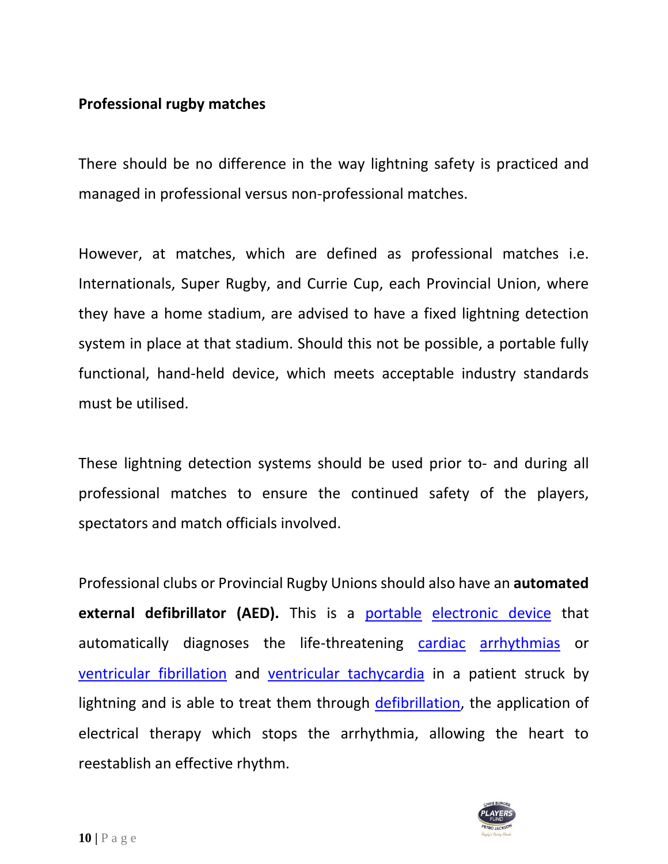# **Professional rugby matches**

There should be no difference in the way lightning safety is practiced and managed in professional versus non-professional matches.

However, at matches, which are defined as professional matches i.e. Internationals, Super Rugby, and Currie Cup, each Provincial Union, where they have a home stadium, are advised to have a fixed lightning detection system in place at that stadium. Should this not be possible, a portable fully functional, hand-held device, which meets acceptable industry standards must be utilised.

These lightning detection systems should be used prior to- and during all professional matches to ensure the continued safety of the players, spectators and match officials involved.

Professional clubs or Provincial Rugby Unions should also have an **automated**  external defibrillator (AED). This is a [portable](https://en.wiktionary.org/wiki/portable) [electronic device](https://en.wikipedia.org/wiki/Electronic_device) that automatically diagnoses the life-threatening [cardiac](https://en.wikipedia.org/wiki/Cardiac) [arrhythmias](https://en.wikipedia.org/wiki/Arrhythmia) or [ventricular](https://en.wikipedia.org/wiki/Ventricular_fibrillation) fibrillation and [ventricular tachycardia](https://en.wikipedia.org/wiki/Ventricular_tachycardia) in a patient struck by lightning and is able to treat them through [defibrillation,](https://en.wikipedia.org/wiki/Defibrillation) the application of electrical therapy which stops the arrhythmia, allowing the heart to reestablish an effective rhythm.

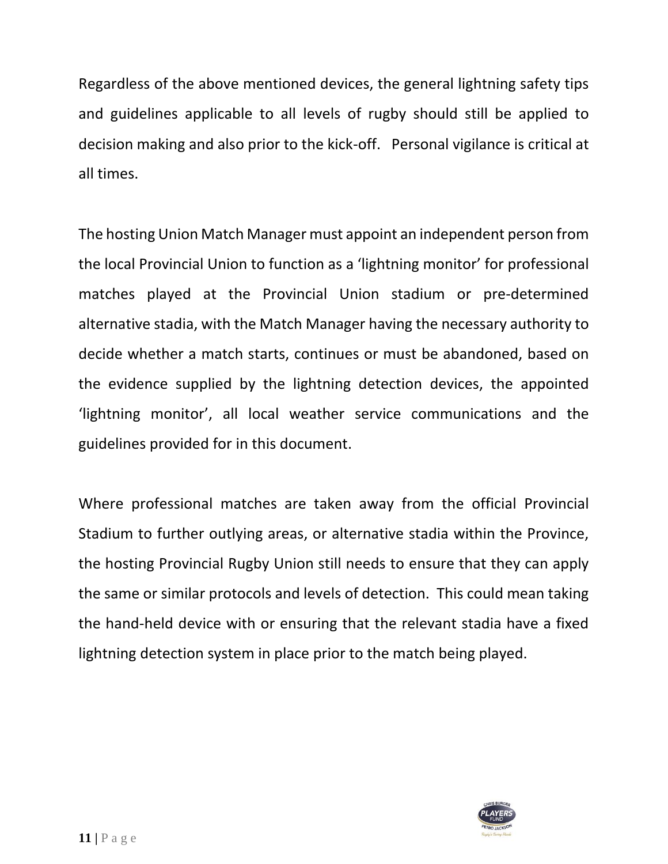Regardless of the above mentioned devices, the general lightning safety tips and guidelines applicable to all levels of rugby should still be applied to decision making and also prior to the kick-off. Personal vigilance is critical at all times.

The hosting Union Match Manager must appoint an independent person from the local Provincial Union to function as a 'lightning monitor' for professional matches played at the Provincial Union stadium or pre-determined alternative stadia, with the Match Manager having the necessary authority to decide whether a match starts, continues or must be abandoned, based on the evidence supplied by the lightning detection devices, the appointed 'lightning monitor', all local weather service communications and the guidelines provided for in this document.

Where professional matches are taken away from the official Provincial Stadium to further outlying areas, or alternative stadia within the Province, the hosting Provincial Rugby Union still needs to ensure that they can apply the same or similar protocols and levels of detection. This could mean taking the hand-held device with or ensuring that the relevant stadia have a fixed lightning detection system in place prior to the match being played.

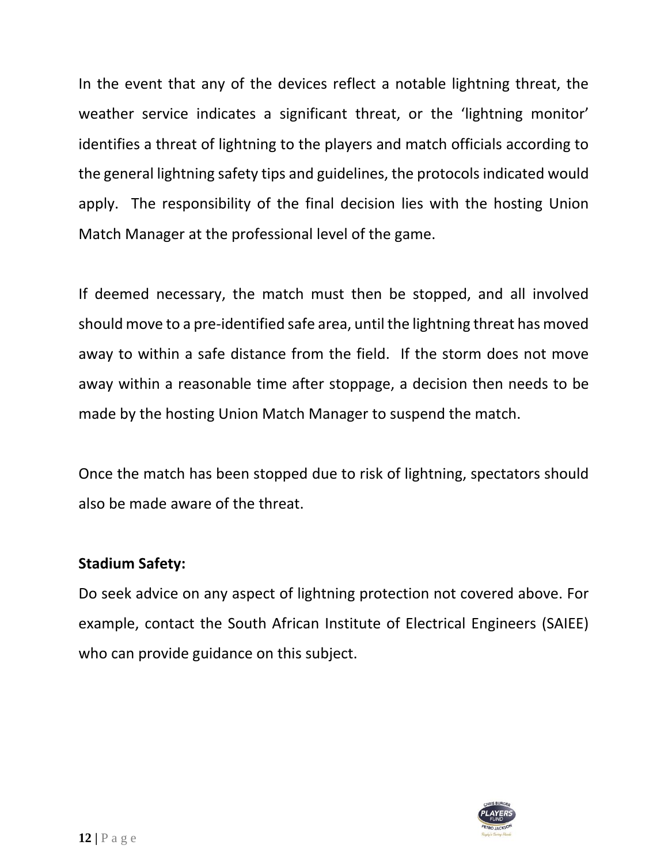In the event that any of the devices reflect a notable lightning threat, the weather service indicates a significant threat, or the 'lightning monitor' identifies a threat of lightning to the players and match officials according to the general lightning safety tips and guidelines, the protocols indicated would apply. The responsibility of the final decision lies with the hosting Union Match Manager at the professional level of the game.

If deemed necessary, the match must then be stopped, and all involved should move to a pre-identified safe area, until the lightning threat has moved away to within a safe distance from the field. If the storm does not move away within a reasonable time after stoppage, a decision then needs to be made by the hosting Union Match Manager to suspend the match.

Once the match has been stopped due to risk of lightning, spectators should also be made aware of the threat.

### **Stadium Safety:**

Do seek advice on any aspect of lightning protection not covered above. For example, contact the South African Institute of Electrical Engineers (SAIEE) who can provide guidance on this subject.

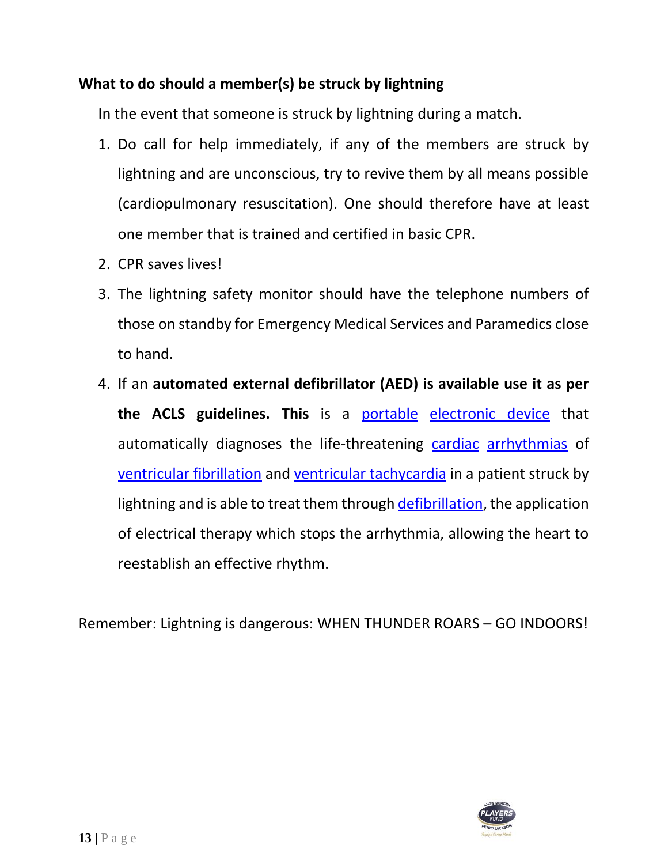# **What to do should a member(s) be struck by lightning**

In the event that someone is struck by lightning during a match.

- 1. Do call for help immediately, if any of the members are struck by lightning and are unconscious, try to revive them by all means possible (cardiopulmonary resuscitation). One should therefore have at least one member that is trained and certified in basic CPR.
- 2. CPR saves lives!
- 3. The lightning safety monitor should have the telephone numbers of those on standby for Emergency Medical Services and Paramedics close to hand.
- 4. If an **automated external defibrillator (AED) is available use it as per the ACLS guidelines. This** is a [portable](https://en.wiktionary.org/wiki/portable) [electronic device](https://en.wikipedia.org/wiki/Electronic_device) that automatically diagnoses the life-threatening [cardiac](https://en.wikipedia.org/wiki/Cardiac) [arrhythmias](https://en.wikipedia.org/wiki/Arrhythmia) of [ventricular fibrillation](https://en.wikipedia.org/wiki/Ventricular_fibrillation) and [ventricular tachycardia](https://en.wikipedia.org/wiki/Ventricular_tachycardia) in a patient struck by lightning and is able to treat them throug[h defibrillation,](https://en.wikipedia.org/wiki/Defibrillation) the application of electrical therapy which stops the arrhythmia, allowing the heart to reestablish an effective rhythm.

Remember: Lightning is dangerous: WHEN THUNDER ROARS – GO INDOORS!